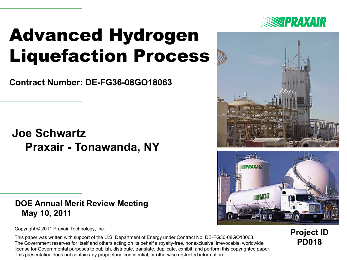# Advanced Hydrogen Liquefaction Process

**Contract Number: DE-FG36-08GO18063**

### **Joe Schwartz Praxair - Tonawanda, NY**

#### **DOE Annual Merit Review Meeting May 10, 2011**

Copyright © 2011 Praxair Technology, Inc.

This paper was written with support of the U.S. Department of Energy under Contract No. DE-FG36-08GO18063. The Government reserves for itself and others acting on its behalf a royalty-free, nonexclusive, irrevocable, worldwide license for Governmental purposes to publish, distribute, translate, duplicate, exhibit, and perform this copyrighted paper. This presentation does not contain any proprietary, confidential, or otherwise restricted information.







**Project ID PD018**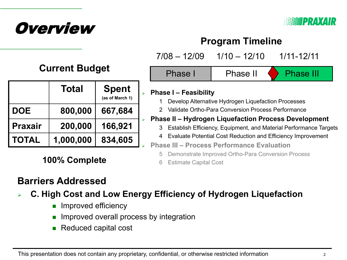



### **Program Timeline**

|  | <b>Current Budget</b> |  |
|--|-----------------------|--|
|--|-----------------------|--|

|                | Total     | <b>Spent</b><br>(as of March 1) | $\blacktriangleright$ |
|----------------|-----------|---------------------------------|-----------------------|
| <b>DOE</b>     | 800,000   | 667,684                         |                       |
| <b>Praxair</b> | 200,000   | 166,921                         |                       |
| <b>TOTAL</b>   | 1,000,000 | 834,605                         |                       |

**100% Complete** 6 Estimate Capital Cost

### Phase II 7/08 – 12/09 1/10 – 12/10 1/11-12/11 Phase I Phase II Phase III

#### **Phase I – Feasibility**

- 1 Develop Alternative Hydrogen Liquefaction Processes
- 2 Validate Ortho-Para Conversion Process Performance

#### **Phase II – Hydrogen Liquefaction Process Development**

- 3 Establish Efficiency, Equipment, and Material Performance Targets
- 4 Evaluate Potential Cost Reduction and Efficiency Improvement
- **Phase III – Process Performance Evaluation**
	- 5 Demonstrate Improved Ortho-Para Conversion Process
	-

### **Barriers Addressed**

- **C. High Cost and Low Energy Efficiency of Hydrogen Liquefaction** 
	- **Improved efficiency**
	- Improved overall process by integration
	- Reduced capital cost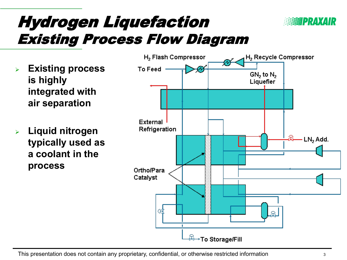

## Hydrogen Liquefaction Existing Process Flow Diagram

- **Existing process is highly integrated with air separation**
- **Liquid nitrogen typically used as a coolant in the process**

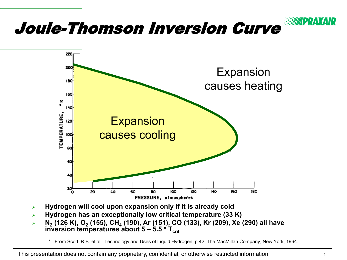

- **Hydrogen will cool upon expansion only if it is already cold**
- **Hydrogen has an exceptionally low critical temperature (33 K)**
- **N2 (126 K), O2 (155), CH4 (190), Ar (151), CO (133), Kr (209), Xe (290) all have inversion temperatures about 5 – 5.5 \* T** $_{\rm crit}$ 
	- \* From Scott, R.B. et al. Technology and Uses of Liquid Hydrogen*,* p.42, The MacMillan Company, New York, 1964.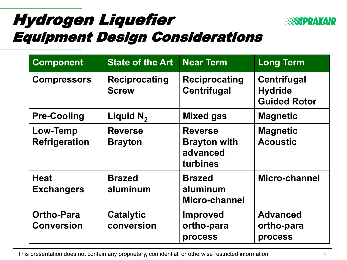## Hydrogen Liquefier Equipment Design Considerations



| <b>Component</b>                        | <b>State of the Art</b>              | <b>Near Term</b>                                              | <b>Long Term</b>                                            |
|-----------------------------------------|--------------------------------------|---------------------------------------------------------------|-------------------------------------------------------------|
| <b>Compressors</b>                      | <b>Reciprocating</b><br><b>Screw</b> | <b>Reciprocating</b><br><b>Centrifugal</b>                    | <b>Centrifugal</b><br><b>Hydride</b><br><b>Guided Rotor</b> |
| <b>Pre-Cooling</b>                      | Liquid $N_2$                         | <b>Mixed gas</b>                                              | <b>Magnetic</b>                                             |
| <b>Low-Temp</b><br><b>Refrigeration</b> | <b>Reverse</b><br><b>Brayton</b>     | <b>Reverse</b><br><b>Brayton with</b><br>advanced<br>turbines | <b>Magnetic</b><br><b>Acoustic</b>                          |
| <b>Heat</b><br><b>Exchangers</b>        | <b>Brazed</b><br>aluminum            | <b>Brazed</b><br>aluminum<br>Micro-channel                    | Micro-channel                                               |
| <b>Ortho-Para</b><br><b>Conversion</b>  | <b>Catalytic</b><br>conversion       | <b>Improved</b><br>ortho-para<br>process                      | <b>Advanced</b><br>ortho-para<br>process                    |

This presentation does not contain any proprietary, confidential, or otherwise restricted information 5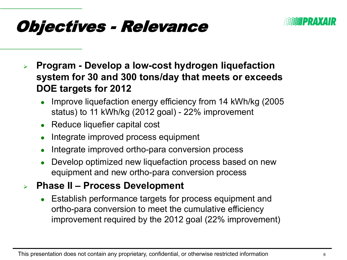

## Objectives - Relevance

- **Program - Develop a low-cost hydrogen liquefaction system for 30 and 300 tons/day that meets or exceeds DOE targets for 2012**
	- Improve liquefaction energy efficiency from 14 kWh/kg (2005 status) to 11 kWh/kg (2012 goal) - 22% improvement
	- Reduce liquefier capital cost
	- Integrate improved process equipment
	- Integrate improved ortho-para conversion process
	- Develop optimized new liquefaction process based on new equipment and new ortho-para conversion process
- **Phase II – Process Development**
	- Establish performance targets for process equipment and ortho-para conversion to meet the cumulative efficiency improvement required by the 2012 goal (22% improvement)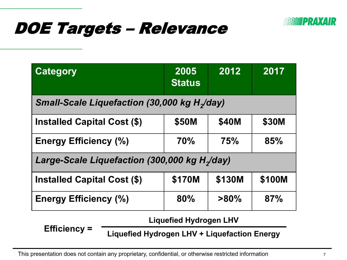

## DOE Targets – Relevance

| <b>Category</b>                                               | 2005<br><b>Status</b> | 2012       | 2017   |  |  |
|---------------------------------------------------------------|-----------------------|------------|--------|--|--|
| <b>Small-Scale Liquefaction (30,000 kg H<sub>2</sub>/day)</b> |                       |            |        |  |  |
| <b>Installed Capital Cost (\$)</b>                            | \$50M                 | \$40M      | \$30M  |  |  |
| <b>Energy Efficiency (%)</b>                                  | <b>70%</b>            | <b>75%</b> | 85%    |  |  |
| Large-Scale Liquefaction (300,000 kg H <sub>2</sub> /day)     |                       |            |        |  |  |
| <b>Installed Capital Cost (\$)</b>                            | \$170M                | \$130M     | \$100M |  |  |
| <b>Energy Efficiency (%)</b>                                  | 80%                   | $>80\%$    | 87%    |  |  |

**Liquefied Hydrogen LHV**

**Efficiency =**

**Liquefied Hydrogen LHV + Liquefaction Energy**

This presentation does not contain any proprietary, confidential, or otherwise restricted information 7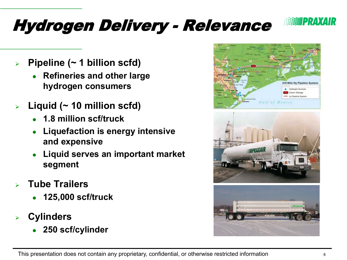

# Hydrogen Delivery - Relevance

- **Pipeline (~ 1 billion scfd)**
	- **Refineries and other large hydrogen consumers**
- **Liquid (~ 10 million scfd)**
	- **1.8 million scf/truck**
	- **Liquefaction is energy intensive and expensive**
	- **Liquid serves an important market segment**
- **Tube Trailers**
	- **125,000 scf/truck**
- **Cylinders**
	- **250 scf/cylinder**





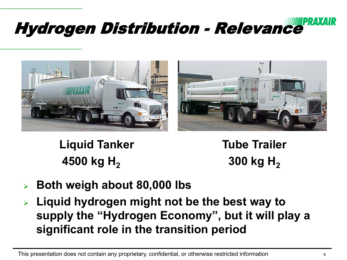# Hydrogen Distribution - Relevance





**Liquid Tanker 4500 kg H<sub>2</sub>** 

**Tube Trailer 300 kg H<sub>2</sub>** 

- **Both weigh about 80,000 lbs**
- **Liquid hydrogen might not be the best way to supply the "Hydrogen Economy", but it will play a significant role in the transition period**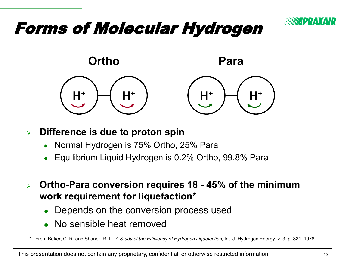

## Forms of Molecular Hydrogen



#### **Difference is due to proton spin**

- Normal Hydrogen is 75% Ortho, 25% Para
- Equilibrium Liquid Hydrogen is 0.2% Ortho, 99.8% Para
- **Ortho-Para conversion requires 18 - 45% of the minimum work requirement for liquefaction\***
	- Depends on the conversion process used
	- No sensible heat removed

\* From Baker, C. R. and Shaner, R. L. *A Study of the Efficiency of Hydrogen Liquefaction,* Int. J. Hydrogen Energy, v. 3, p. 321, 1978.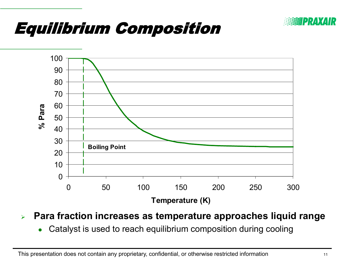

## Equilibrium Composition



**Para fraction increases as temperature approaches liquid range**

Catalyst is used to reach equilibrium composition during cooling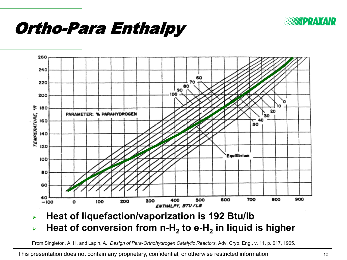

## Ortho-Para Enthalpy



### **EXA)** Heat of conversion from n-H<sub>2</sub> to e-H<sub>2</sub> in liquid is higher

From Singleton, A. H. and Lapin, A. *Design of Para-Orthohydrogen Catalytic Reactors,* Adv. Cryo. Eng., v. 11, p. 617, 1965.

This presentation does not contain any proprietary, confidential, or otherwise restricted information 12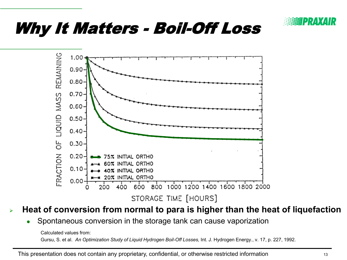

## Why It Matters - Boil-Off Loss



#### **Heat of conversion from normal to para is higher than the heat of liquefaction**

Spontaneous conversion in the storage tank can cause vaporization

Calculated values from: Gursu, S. et al. *An Optimization Study of Liquid Hydrogen Boil-Off Losses,* Int. J. Hydrogen Energy., v. 17, p. 227, 1992.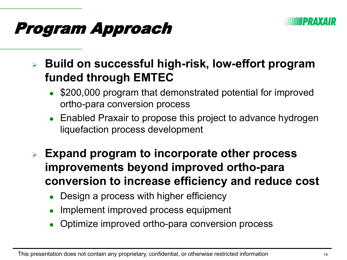

## Program Approach

 **Build on successful high-risk, low-effort program funded through EMTEC**

- \$200,000 program that demonstrated potential for improved ortho-para conversion process
- Enabled Praxair to propose this project to advance hydrogen liquefaction process development
- **Expand program to incorporate other process improvements beyond improved ortho-para conversion to increase efficiency and reduce cost**
	- Design a process with higher efficiency
	- Implement improved process equipment
	- Optimize improved ortho-para conversion process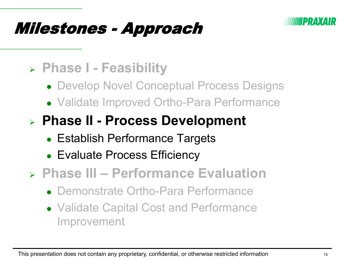

## Milestones - Approach

### **Phase I - Feasibility**

- Develop Novel Conceptual Process Designs
- Validate Improved Ortho-Para Performance

### **Phase II - Process Development**

- Establish Performance Targets
- Evaluate Process Efficiency
- **Phase III – Performance Evaluation**
	- Demonstrate Ortho-Para Performance
	- Validate Capital Cost and Performance Improvement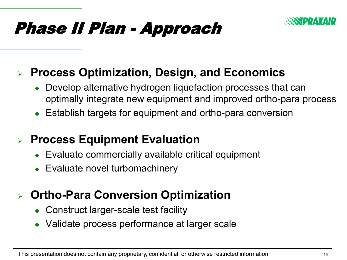## Phase II Plan - Approach



### **Process Optimization, Design, and Economics**

- Develop alternative hydrogen liquefaction processes that can optimally integrate new equipment and improved ortho-para process
- Establish targets for equipment and ortho-para conversion

### **Process Equipment Evaluation**

- Evaluate commercially available critical equipment
- Evaluate novel turbomachinery

### **Ortho-Para Conversion Optimization**

- Construct larger-scale test facility
- Validate process performance at larger scale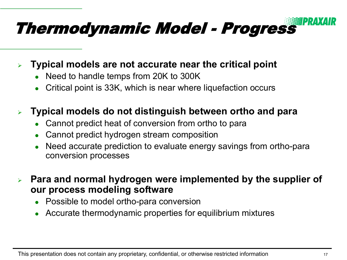

**Typical models are not accurate near the critical point**

- Need to handle temps from 20K to 300K
- Critical point is 33K, which is near where liquefaction occurs

### **Typical models do not distinguish between ortho and para**

- Cannot predict heat of conversion from ortho to para
- Cannot predict hydrogen stream composition
- Need accurate prediction to evaluate energy savings from ortho-para conversion processes

 **Para and normal hydrogen were implemented by the supplier of our process modeling software**

- Possible to model ortho-para conversion
- Accurate thermodynamic properties for equilibrium mixtures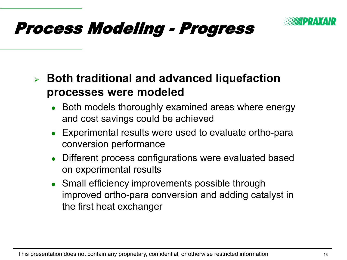

### **Both traditional and advanced liquefaction processes were modeled**

- Both models thoroughly examined areas where energy and cost savings could be achieved
- Experimental results were used to evaluate ortho-para conversion performance
- Different process configurations were evaluated based on experimental results
- Small efficiency improvements possible through improved ortho-para conversion and adding catalyst in the first heat exchanger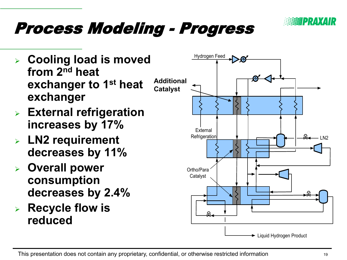

- **Cooling load is moved from 2nd heat exchanger to 1st heat exchanger**
- **External refrigeration increases by 17%**
- **LN2 requirement decreases by 11%**
- **Overall power consumption decreases by 2.4%**
- **Recycle flow is reduced**

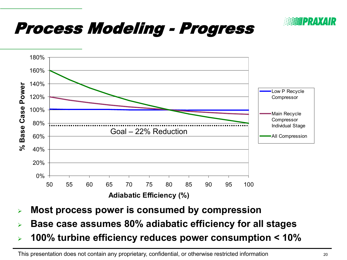



- **Most process power is consumed by compression**
- **Base case assumes 80% adiabatic efficiency for all stages**
- **100% turbine efficiency reduces power consumption < 10%**

This presentation does not contain any proprietary, confidential, or otherwise restricted information 20 20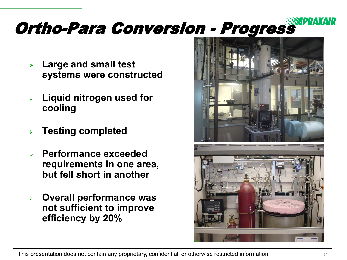#### ZPRAXAIR Ortho-Para Conversion - Progress

- **Large and small test systems were constructed**
- **Liquid nitrogen used for cooling**
- **Testing completed**
- **Performance exceeded requirements in one area, but fell short in another**
- **Overall performance was not sufficient to improve efficiency by 20%**



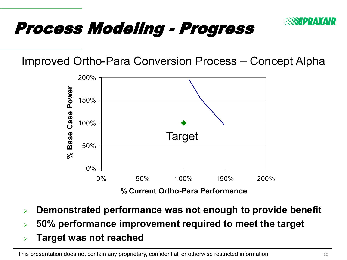

Improved Ortho-Para Conversion Process – Concept Alpha



- **Demonstrated performance was not enough to provide benefit**
- **50% performance improvement required to meet the target**
- **Target was not reached**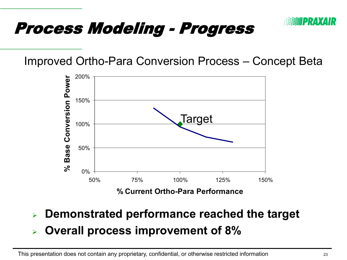

Improved Ortho-Para Conversion Process – Concept Beta



- **Demonstrated performance reached the target**
- **Overall process improvement of 8%**

This presentation does not contain any proprietary, confidential, or otherwise restricted information 23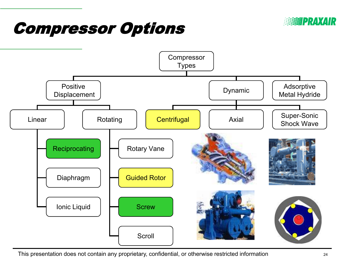

## Compressor Options



This presentation does not contain any proprietary, confidential, or otherwise restricted information <sup>24</sup>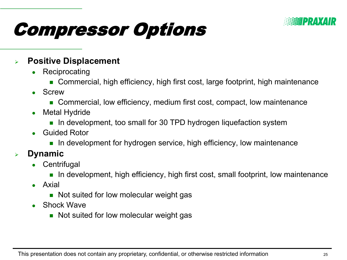

# Compressor Options

#### **Positive Displacement**

- **Reciprocating** 
	- Commercial, high efficiency, high first cost, large footprint, high maintenance
- Screw
	- Commercial, low efficiency, medium first cost, compact, low maintenance
- Metal Hydride
	- **In development, too small for 30 TPD hydrogen liquefaction system**
- Guided Rotor
	- $\blacksquare$  In development for hydrogen service, high efficiency, low maintenance

#### **Dynamic**

- **Centrifugal** 
	- In development, high efficiency, high first cost, small footprint, low maintenance
- Axial
	- Not suited for low molecular weight gas
- Shock Wave
	- Not suited for low molecular weight gas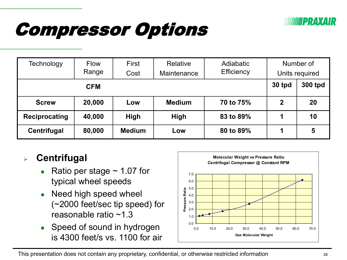

# Compressor Options

| Technology    | <b>Flow</b><br>Range | First<br>Cost | Relative<br>Maintenance | Adiabatic<br>Efficiency | Number of<br>Units required |    |
|---------------|----------------------|---------------|-------------------------|-------------------------|-----------------------------|----|
| <b>CFM</b>    |                      |               |                         | 30 tpd                  | 300 tpd                     |    |
| <b>Screw</b>  | 20,000               | Low           | <b>Medium</b>           | 70 to 75%               | $\mathbf 2$                 | 20 |
| Reciprocating | 40,000               | <b>High</b>   | High                    | 83 to 89%               |                             | 10 |
| Centrifugal   | 80,000               | <b>Medium</b> | Low                     | 80 to 89%               | 1                           | 5  |

### **Centrifugal**

- Ratio per stage  $\sim$  1.07 for typical wheel speeds
- Need high speed wheel (~2000 feet/sec tip speed) for reasonable ratio ~1.3
- Speed of sound in hydrogen is 4300 feet/s vs. 1100 for air

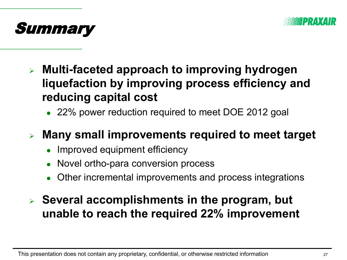

![](_page_26_Picture_1.jpeg)

- **Multi-faceted approach to improving hydrogen liquefaction by improving process efficiency and reducing capital cost** 
	- 22% power reduction required to meet DOE 2012 goal
- **Many small improvements required to meet target**
	- Improved equipment efficiency
	- Novel ortho-para conversion process
	- Other incremental improvements and process integrations
- **Several accomplishments in the program, but unable to reach the required 22% improvement**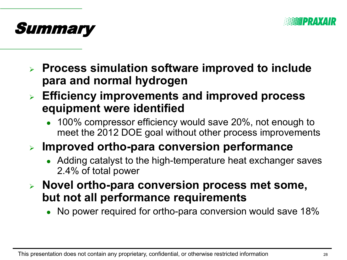![](_page_27_Picture_0.jpeg)

![](_page_27_Picture_1.jpeg)

- **Process simulation software improved to include para and normal hydrogen**
- **Efficiency improvements and improved process equipment were identified**
	- 100% compressor efficiency would save 20%, not enough to meet the 2012 DOE goal without other process improvements
- **Improved ortho-para conversion performance**
	- Adding catalyst to the high-temperature heat exchanger saves 2.4% of total power
- **Novel ortho-para conversion process met some, but not all performance requirements**
	- No power required for ortho-para conversion would save 18%